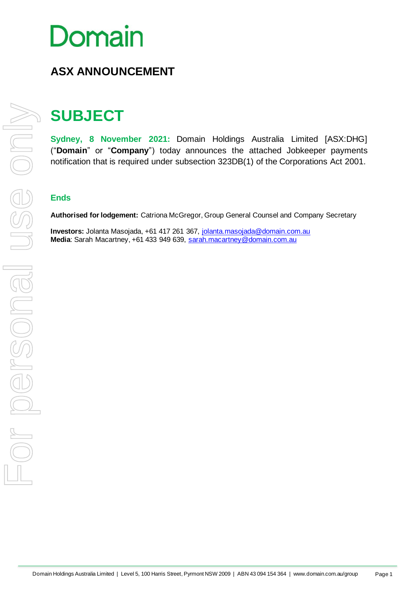# Domain

## **ASX ANNOUNCEMENT**

# **SUBJECT**

**Sydney, 8 November 2021:** Domain Holdings Australia Limited [ASX:DHG] ("**Domain**" or "**Company**") today announces the attached Jobkeeper payments notification that is required under subsection 323DB(1) of the Corporations Act 2001.

#### **Ends**

**Authorised for lodgement:** Catriona McGregor, Group General Counsel and Company Secretary

**Investors:** Jolanta Masojada, +61 417 261 367, [jolanta.masojada@domain.com.au](mailto:jolanta.masojada@domain.com.au) **Media**: Sarah Macartney, +61 433 949 639, [sarah.macartney@domain.com.au](mailto:sarah.macartney@domain.com.au)